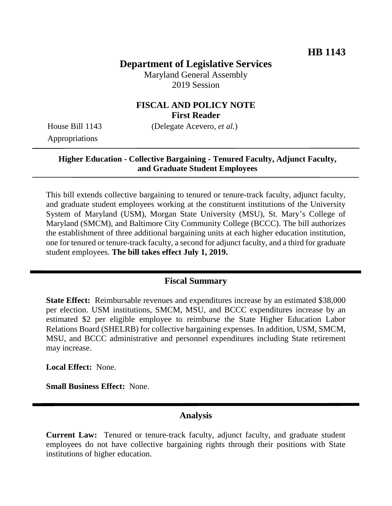# **Department of Legislative Services**

Maryland General Assembly 2019 Session

## **FISCAL AND POLICY NOTE First Reader**

Appropriations

House Bill 1143 (Delegate Acevero, *et al.*)

### **Higher Education - Collective Bargaining - Tenured Faculty, Adjunct Faculty, and Graduate Student Employees**

This bill extends collective bargaining to tenured or tenure-track faculty, adjunct faculty, and graduate student employees working at the constituent institutions of the University System of Maryland (USM), Morgan State University (MSU), St. Mary's College of Maryland (SMCM), and Baltimore City Community College (BCCC). The bill authorizes the establishment of three additional bargaining units at each higher education institution, one for tenured or tenure-track faculty, a second for adjunct faculty, and a third for graduate student employees. **The bill takes effect July 1, 2019.**

## **Fiscal Summary**

**State Effect:** Reimbursable revenues and expenditures increase by an estimated \$38,000 per election. USM institutions, SMCM, MSU, and BCCC expenditures increase by an estimated \$2 per eligible employee to reimburse the State Higher Education Labor Relations Board (SHELRB) for collective bargaining expenses. In addition, USM, SMCM, MSU, and BCCC administrative and personnel expenditures including State retirement may increase.

**Local Effect:** None.

**Small Business Effect:** None.

## **Analysis**

**Current Law:** Tenured or tenure-track faculty, adjunct faculty, and graduate student employees do not have collective bargaining rights through their positions with State institutions of higher education.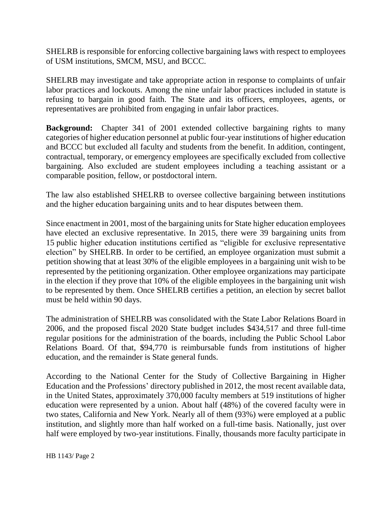SHELRB is responsible for enforcing collective bargaining laws with respect to employees of USM institutions, SMCM, MSU, and BCCC.

SHELRB may investigate and take appropriate action in response to complaints of unfair labor practices and lockouts. Among the nine unfair labor practices included in statute is refusing to bargain in good faith. The State and its officers, employees, agents, or representatives are prohibited from engaging in unfair labor practices.

**Background:** Chapter 341 of 2001 extended collective bargaining rights to many categories of higher education personnel at public four-year institutions of higher education and BCCC but excluded all faculty and students from the benefit. In addition, contingent, contractual, temporary, or emergency employees are specifically excluded from collective bargaining. Also excluded are student employees including a teaching assistant or a comparable position, fellow, or postdoctoral intern.

The law also established SHELRB to oversee collective bargaining between institutions and the higher education bargaining units and to hear disputes between them.

Since enactment in 2001, most of the bargaining units for State higher education employees have elected an exclusive representative. In 2015, there were 39 bargaining units from 15 public higher education institutions certified as "eligible for exclusive representative election" by SHELRB. In order to be certified, an employee organization must submit a petition showing that at least 30% of the eligible employees in a bargaining unit wish to be represented by the petitioning organization. Other employee organizations may participate in the election if they prove that 10% of the eligible employees in the bargaining unit wish to be represented by them. Once SHELRB certifies a petition, an election by secret ballot must be held within 90 days.

The administration of SHELRB was consolidated with the State Labor Relations Board in 2006, and the proposed fiscal 2020 State budget includes \$434,517 and three full-time regular positions for the administration of the boards, including the Public School Labor Relations Board. Of that, \$94,770 is reimbursable funds from institutions of higher education, and the remainder is State general funds.

According to the National Center for the Study of Collective Bargaining in Higher Education and the Professions' directory published in 2012, the most recent available data, in the United States, approximately 370,000 faculty members at 519 institutions of higher education were represented by a union. About half (48%) of the covered faculty were in two states, California and New York. Nearly all of them (93%) were employed at a public institution, and slightly more than half worked on a full-time basis. Nationally, just over half were employed by two-year institutions. Finally, thousands more faculty participate in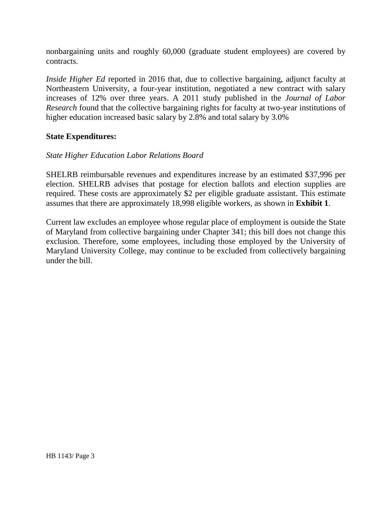nonbargaining units and roughly 60,000 (graduate student employees) are covered by contracts.

*Inside Higher Ed* reported in 2016 that, due to collective bargaining, adjunct faculty at Northeastern University, a four-year institution, negotiated a new contract with salary increases of 12% over three years. A 2011 study published in the *Journal of Labor Research* found that the collective bargaining rights for faculty at two-year institutions of higher education increased basic salary by 2.8% and total salary by 3.0%

### **State Expenditures:**

### *State Higher Education Labor Relations Board*

SHELRB reimbursable revenues and expenditures increase by an estimated \$37,996 per election. SHELRB advises that postage for election ballots and election supplies are required. These costs are approximately \$2 per eligible graduate assistant. This estimate assumes that there are approximately 18,998 eligible workers, as shown in **Exhibit 1**.

Current law excludes an employee whose regular place of employment is outside the State of Maryland from collective bargaining under Chapter 341; this bill does not change this exclusion. Therefore, some employees, including those employed by the University of Maryland University College, may continue to be excluded from collectively bargaining under the bill.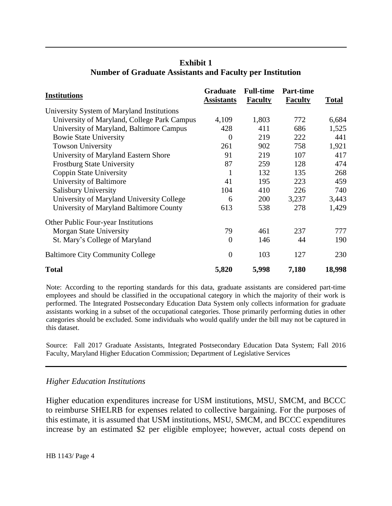| Institutions                                | <b>Graduate</b><br><b>Assistants</b> | <b>Full-time</b><br><b>Faculty</b> | <b>Part-time</b><br><b>Faculty</b> | <b>Total</b> |
|---------------------------------------------|--------------------------------------|------------------------------------|------------------------------------|--------------|
| University System of Maryland Institutions  |                                      |                                    |                                    |              |
| University of Maryland, College Park Campus | 4,109                                | 1,803                              | 772                                | 6,684        |
| University of Maryland, Baltimore Campus    | 428                                  | 411                                | 686                                | 1,525        |
| <b>Bowie State University</b>               | $\theta$                             | 219                                | 222                                | 441          |
| <b>Towson University</b>                    | 261                                  | 902                                | 758                                | 1,921        |
| University of Maryland Eastern Shore        | 91                                   | 219                                | 107                                | 417          |
| <b>Frostburg State University</b>           | 87                                   | 259                                | 128                                | 474          |
| Coppin State University                     | 1                                    | 132                                | 135                                | 268          |
| University of Baltimore                     | 41                                   | 195                                | 223                                | 459          |
| <b>Salisbury University</b>                 | 104                                  | 410                                | 226                                | 740          |
| University of Maryland University College   | 6                                    | 200                                | 3,237                              | 3,443        |
| University of Maryland Baltimore County     | 613                                  | 538                                | 278                                | 1,429        |
| <b>Other Public Four-year Institutions</b>  |                                      |                                    |                                    |              |
| Morgan State University                     | 79                                   | 461                                | 237                                | 777          |
| St. Mary's College of Maryland              | $\theta$                             | 146                                | 44                                 | 190          |
| <b>Baltimore City Community College</b>     | $\overline{0}$                       | 103                                | 127                                | 230          |
|                                             |                                      |                                    |                                    |              |

#### **Exhibit 1 Number of Graduate Assistants and Faculty per Institution**

Note: According to the reporting standards for this data, graduate assistants are considered part-time employees and should be classified in the occupational category in which the majority of their work is performed. The Integrated Postsecondary Education Data System only collects information for graduate assistants working in a subset of the occupational categories. Those primarily performing duties in other categories should be excluded. Some individuals who would qualify under the bill may not be captured in this dataset.

**Total 5,820 5,998 7,180 18,998** 

Source: Fall 2017 Graduate Assistants, Integrated Postsecondary Education Data System; Fall 2016 Faculty, Maryland Higher Education Commission; Department of Legislative Services

#### *Higher Education Institutions*

Higher education expenditures increase for USM institutions, MSU, SMCM, and BCCC to reimburse SHELRB for expenses related to collective bargaining. For the purposes of this estimate, it is assumed that USM institutions, MSU, SMCM, and BCCC expenditures increase by an estimated \$2 per eligible employee; however, actual costs depend on